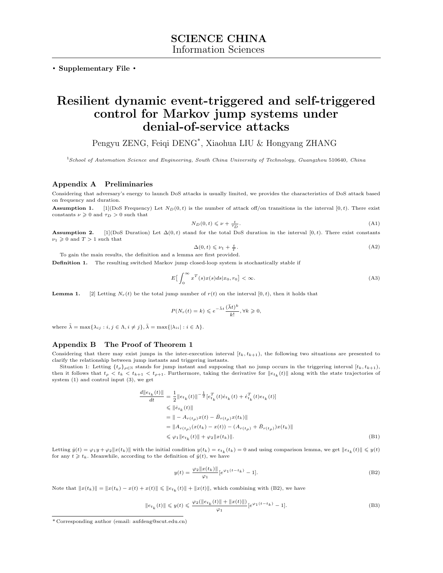**. Supplementary File .**

# **Resilient dynamic event-triggered and self-triggered control for Markov jump systems under denial-of-service attacks**

Pengyu ZENG, Feiqi DENG\* , Xiaohua LIU & Hongyang ZHANG

<sup>1</sup>*School of Automation Science and Engineering, South China University of Technology, Guangzhou* 510640*, China*

## **Appendix A Preliminaries**

Considering that adversary's energy to launch DoS attacks is usually limited, we provides the characteristics of DoS attack based on frequency and duration.

**Assumption 1.** [1](DoS Frequency) Let  $N_D(0,t)$  is the number of attack off/on transitions in the interval [0, t). There exist constants  $\nu \geqslant 0$  and  $\tau_D > 0$  such that

$$
N_D(0,t) \leqslant \nu + \frac{t}{\tau_D}.\tag{A1}
$$

**Assumption 2.** [1](DoS Duration) Let  $\Delta(0,t)$  stand for the total DoS duration in the interval [0, t). There exist constants  $\nu_1 \geqslant 0$  and  $T > 1$  such that

$$
\Delta(0, t) \leqslant \nu_1 + \frac{t}{T}.\tag{A2}
$$

To gain the main results, the definition and a lemma are first provided.

**Definition 1.** The resulting switched Markov jump closed-loop system is stochastically stable if

$$
E\left[\int_{0}^{\infty} x^{T}(s)x(s)ds|x_{0},r_{0}\right]<\infty.
$$
 (A3)

**Lemma 1.** [2] Letting  $N_r(t)$  be the total jump number of  $r(t)$  on the interval  $[0, t)$ *,* then it holds that

$$
P(N_r(t) = k) \leqslant e^{-\tilde{\lambda}t} \frac{(\bar{\lambda}t)^k}{k!}, \forall k \geqslant 0,
$$

where  $\tilde{\lambda} = \max\{\lambda_{ij} : i, j \in \Lambda, i \neq j\}, \bar{\lambda} = \max\{|\lambda_{ii}| : i \in \Lambda\}.$ 

# **Appendix B The Proof of Theorem 1**

Considering that there may exist jumps in the inter-execution interval  $[t_k, t_{k+1})$ , the following two situations are presented to clarify the relationship between jump instants and triggering instants.

Situation 1: Letting  $\{t_\rho\}_{\rho \in \mathbb{N}}$  stands for jump instant and supposing that no jump occurs in the triggering interval  $[t_k, t_{k+1})$ , then it follows that  $t_{\rho} < t_k < t_{k+1} < t_{\rho+1}$ . Furthermore, taking the derivative for  $||e_{t_k}(t)||$  along with the state trajectories of system (1) and control input (3), we get

$$
\frac{d||e_{t_k}(t)||}{dt} = \frac{1}{2} ||e_{t_k}(t)||^{-\frac{1}{2}} [e_{t_k}^T(t)\dot{e}_{t_k}(t) + \dot{e}_{t_k}^T(t)e_{t_k}(t)]
$$
\n
$$
\leq ||\dot{e}_{t_k}(t)||
$$
\n
$$
= || - A_{r(t_\rho)}x(t) - \bar{B}_{r(t_\rho)}x(t_k)||
$$
\n
$$
= ||A_{r(t_\rho)}(x(t_k) - x(t)) - (A_{r(t_\rho)} + \bar{B}_{r(t_\rho)})x(t_k)||
$$
\n
$$
\leq \varphi_1 ||e_{t_k}(t)|| + \varphi_2 ||x(t_k)||. \tag{B1}
$$

Letting  $\dot{y}(t) = \varphi_1 y + \varphi_2 ||x(t_k)||$  with the initial condition  $y(t_k) = e_{t_k}(t_k) = 0$  and using comparison lemma, we get  $||e_{t_k}(t)|| \leq y(t)$ for any  $t \geq t_k$ . Meanwhile, according to the definition of  $\dot{y}(t)$ , we have

$$
y(t) = \frac{\varphi_2 \|x(t_k)\|}{\varphi_1} [e^{\varphi_1(t - t_k)} - 1].
$$
 (B2)

Note that  $||x(t_k)|| = ||x(t_k) - x(t) + x(t)|| \le ||e_{t_k}(t)|| + ||x(t)||$ , which combining with (B2), we have

$$
||e_{t_k}(t)|| \leq y(t) \leq \frac{\varphi_2(||e_{t_k}(t)|| + ||x(t)||)}{\varphi_1} [e^{\varphi_1(t-t_k)} - 1].
$$
\n(B3)

<sup>\*</sup> Corresponding author (email: aufdeng@scut.edu.cn)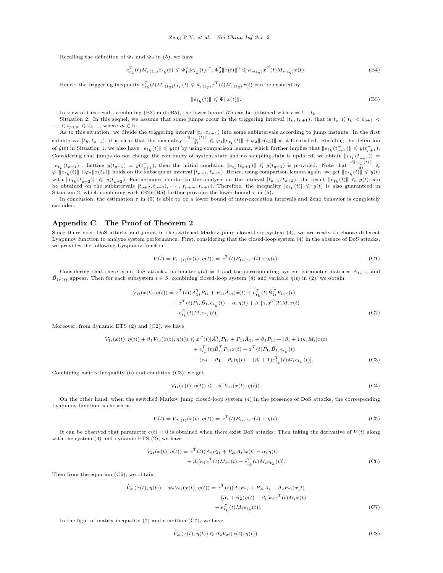Recalling the definition of  $\Phi_1$  and  $\Phi_2$  in (5), we have

$$
e_{t_k}^T(t)M_{r(t_q)}e_{t_k}(t) \leqslant \Phi_1^2 \|e_{t_k}(t)\|^2, \Phi_2^2 \|x(t)\|^2 \leqslant \kappa_{r(t_q)} x^T(t)M_{r(t_q)}x(t). \tag{B4}
$$

Hence, the triggering inequality  $e_{t_k}^T(t)M_{r(t_q)}e_{t_k}(t) \leqslant \kappa_{r(t_q)}x^T(t)M_{r(t_q)}x(t)$  can be ensured by

$$
||e_{t_k}(t)|| \leqslant \Psi ||x(t)||. \tag{B5}
$$

In view of this result, combining (B3) and (B5), the lower bound (5) can be obtained with  $\tau = t - t_k$ .

Situation 2: In this sequel, we assume that some jumps occur in the triggering interval  $[t_k, t_{k+1})$ , that is  $t_\rho \leq t_k < t_{\rho+1}$  $\cdots < t_{\rho+m} \leqslant t_{k+1}$ , where  $m \in \mathbb{N}$ .

As to this situation, we divide the triggering interval  $[t_k, t_{k+1})$  into some subintervals according to jump instants. In the first subinterval  $[t_k, t_{\rho+1})$ , it is clear that the inequality  $\frac{d\|e_{t_k}(t)\|}{dt} \leq \varphi_1 \|e_{t_k}(t)\| + \varphi_2 \|x(t_k)\|$  is still satisfied. Recalling the definition of  $\dot{y}(t)$  in Situation 1, we also have  $||e_{t_k}(t)|| \leqslant y(t)$  by using comparison lemma, which further implies that  $||e_{t_k}(t_{\rho+1}^-)|| \leqslant y(t_{\rho+1}^-)$ . Considering that jumps do not change the continuity of system state and no sampling data is updated, we obtain  $||e_{t_k}(t_{\rho+1}^-)||=$  $||e_{t_k}(t_{\rho+1})||$ . Letting  $y(t_{q+1}) = y(t_{q+1}^-)$ , then the initial condition  $||e_{t_k}(t_{\rho+1})|| \leq y(t_{q+1})$  is provided. Note that  $\frac{d||e_{t_k}(t)||}{dt} \leq$  $\varphi_1 \|e_{t_k}(t)\| + \varphi_2 \|x(t_k)\|$  holds on the subsequent interval  $[t_{\rho+1}, t_{\rho+2})$ . Hence, using comparison lemma again, we get  $\|e_{t_k}(t)\| \leqslant y(t)$ with  $\|e_{t_k}(t_{\rho+2}^{-})\| \leqslant y(t_{\rho+2}^{-})$ . Furthermore, similar to the analysis on the interval  $[t_{\rho+1}, t_{\rho+2})$ , the result  $\|e_{t_k}(t)\| \leqslant y(t)$  can be obtained on the subintervals  $[t_{\rho+2}, t_{\rho+3}), \cdots, [t_{\rho+m}, t_{k+1})$ . Therefore, the inequality  $|e_{t_k}(t)| \leq y(t)$  is also guaranteed in Situation 2, which combining with  $(B2)-(B5)$  further provides the lower bound  $\tau$  in (5).

In conclusion, the estimation  $\tau$  in (5) is able to be a lower bound of inter-execution intervals and Zeno behavior is completely excluded.

# **Appendix C The Proof of Theorem 2**

Since there exist DoS attacks and jumps in the switched Markov jump closed-loop system (4), we are ready to choose different Lyapunov function to analyze system performance. First, considering that the closed-loop system (4) in the absence of DoS attacks, we provides the following Lyapunov function

$$
V(t) = V_{1r(t)}(x(t), \eta(t)) = x^{T}(t)P_{1r(t)}x(t) + \eta(t).
$$
\n(C1)

Considering that there is no DoS attacks, parameter  $\varsigma(t) = 1$  and the corresponding system parameter matrices  $\bar{A}_{1r(t)}$  and  $\bar{B}_{1r(t)}$  appear. Then for each subsystem  $i \in S$ , combining closed-loop system (4) and variable  $\eta(t)$  in (2), we obtain

$$
\dot{V}_{1i}(x(t), \eta(t)) = x^{T}(t)(\bar{A}_{1i}^{T} P_{1i} + P_{1i}\bar{A}_{1i})x(t) + e_{t_{k}}^{T}(t)\bar{B}_{1i}^{T} P_{1i}x(t) \n+ x^{T}(t)P_{1i}\bar{B}_{1i}e_{t_{k}}(t) - \alpha_{i}\eta(t) + \beta_{i}[\kappa_{i}x^{T}(t)M_{i}x(t) \n- e_{t_{k}}^{T}(t)M_{i}e_{t_{k}}(t)].
$$
\n(C2)

Moreover, from dynamic ETS (2) and (C2), we have

$$
\dot{V}_{1i}(x(t), \eta(t)) + \vartheta_1 V_{1i}(x(t), \eta(t)) \leq x^T(t) [\bar{A}_{1i}^T P_{1i} + P_{1i} \bar{A}_{1i} + \vartheta_1 P_{1i} + (\beta_i + 1)\kappa_i M_i] x(t) \n+ e_{t_k}^T(t) \bar{B}_{1i}^T P_{1i} x(t) + x^T(t) P_{1i} \bar{B}_{1i} e_{t_k}(t) \n- (\alpha_i - \vartheta_1 - \theta_i) \eta(t) - (\beta_i + 1) e_{t_k}^T(t) M_i e_{t_k}(t)].
$$
\n(C3)

Combining matrix inequality (6) and condition (C3), we get

$$
\dot{V}_{1i}(x(t), \eta(t)) \leqslant -\vartheta_1 V_{1i}(x(t), \eta(t)).\tag{C4}
$$

On the other hand, when the switched Markov jump closed-loop system (4) in the presence of DoS attacks, the corresponding Lyapunov function is chosen as

$$
V(t) = V_{2r(t)}(x(t), \eta(t)) = x^{T}(t)P_{2r(t)}x(t) + \eta(t).
$$
\n(C5)

It can be observed that parameter  $\varsigma(t) = 0$  is obtained when there exist DoS attacks. Then taking the derivative of  $V(t)$  along with the system (4) and dynamic ETS (2), we have

$$
\dot{V}_{2i}(x(t), \eta(t)) = x^{T}(t)(A_{i}P_{2i} + P_{2i}A_{i})x(t) - \alpha_{i}\eta(t) \n+ \beta_{i}[\kappa_{i}x^{T}(t)M_{i}x(t) - e_{t_{k}}^{T}(t)M_{i}e_{t_{k}}(t)].
$$
\n(C6)

Then from the equation (C6), we obtain

$$
\dot{V}_{2i}(x(t),\eta(t)) - \vartheta_2 V_{2i}(x(t),\eta(t)) = x^T(t)(A_i P_{2i} + P_{2i} A_i - \vartheta_2 P_{2i})x(t) \n- (\alpha_i + \vartheta_2)\eta(t) + \beta_i[\kappa_i x^T(t)M_i x(t) \n- \epsilon_{I_k}^T(t)M_i \epsilon_{I_k}(t)].
$$
\n(C7)

In the light of matrix inequality (7) and condition (C7), we have

$$
\dot{V}_{2i}(x(t), \eta(t)) \leq \vartheta_2 V_{2i}(x(t), \eta(t)).\tag{C8}
$$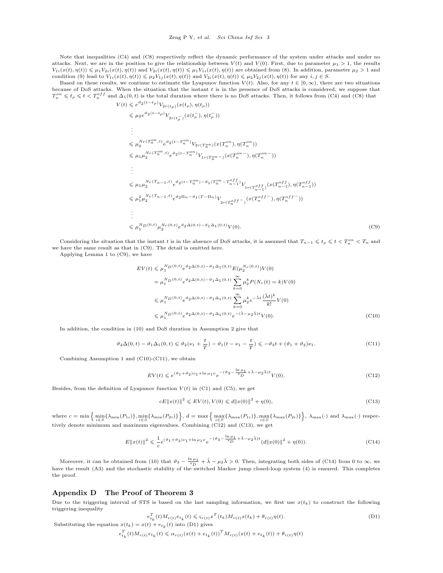Note that inequalities (C4) and (C8) respectively reflect the dynamic performance of the system under attacks and under no attacks. Next, we are in the position to give the relationship between  $V(t)$  and  $V(0)$ . First, due to parameter  $\mu_1 > 1$ , the results  $V_{1i}(x(t), \eta(t)) \leq \mu_1 V_{2i}(x(t), \eta(t))$  and  $V_{2i}(x(t), \eta(t)) \leq \mu_1 V_{1i}(x(t), \eta(t))$  are obtained from (8). In addition, parameter  $\mu_2 > 1$  and condition (9) lead to  $V_{1i}(x(t), \eta(t)) \le \mu_2 V_{1j}(x(t), \eta(t))$  and  $V_{2i}(x(t), \eta(t)) \le \mu_2 V_{2j}(x(t), \eta(t))$  for any  $i, j \in S$ .

Based on these results, we continue to estimate the Lyapunov function  $V(t)$ . Also, for any  $t \in [0, \infty)$ , there are two situations because of DoS attacks. When the situation that the instant *t* is in the presence of DoS attacks is considered, we suppose that  $T_n^{on} \leqslant t_\rho \leqslant t < T_n^{off}$  and  $\Delta_1(0, t)$  is the total duration where there is no DoS attacks. Then, it follows from (C4) and (C8) that  $V(t) \leqslant e^{\vartheta_2(t-t_\rho)} V_2$ 

$$
\leq e^{\vartheta_{2}(t-t_{\rho})}V_{2r(t_{\rho})}(x(t_{\rho}),\eta(t_{\rho}))
$$
\n
$$
\leq \mu_{2}e^{\vartheta_{2}(t-t_{\rho})}V_{2r(t_{\rho}^{-})}(x(t_{\rho}^{-}),\eta(t_{\rho}^{-}))
$$
\n
$$
\vdots
$$
\n
$$
\leq \mu_{2}^{N_{r}(T_{n}^{on},t)}e^{\vartheta_{2}(t-T_{n}^{on})}V_{2r(T_{n}^{on})}(x(T_{n}^{on}),\eta(T_{n}^{on}))
$$
\n
$$
\leq \mu_{1}\mu_{2}^{N_{r}(T_{n}^{on},t)}e^{\vartheta_{2}(t-T_{n}^{on})}V_{1r(T_{n}^{on}-)}(x(T_{n}^{on}-),\eta(T_{n}^{on}-))
$$
\n
$$
\vdots
$$
\n
$$
\leq \mu_{1}\mu_{2}^{N_{r}(T_{n-1},t)}e^{\vartheta_{2}(t-T_{n}^{on})-\vartheta_{1}(T_{n}^{on}-T_{n-1}^{off})}V_{1r(T_{n}^{off},x)}(x(T_{n-1}^{off}),\eta(T_{n-1}^{off}))
$$
\n
$$
\leq \mu_{1}^{N_{r}(T_{n-1},t)}e^{\vartheta_{2}(t-T_{n}^{on})-\vartheta_{1}(T_{n}^{on}-T_{n-1}^{off})}V_{2r(T_{n}^{off},x)}(x(T_{n-1}^{off},\eta(T_{n}^{off}))
$$
\n
$$
\vdots
$$
\n
$$
\leq \mu_{1}^{N_{D}(0,t)}\mu_{2}^{N_{r}(0,t)}e^{\vartheta_{2}\Delta(0,t)-\vartheta_{1}\Delta_{1}(0,t)}V(0).
$$
\n(C9)

Considering the situation that the instant *t* is in the absence of DoS attacks, it is assumed that  $T_{n-1} \leq t_p \leq t \leq T_n^{\circ n} \leq T_n$  and we have the same result as that in (C9). The detail is omitted here.

Applying Lemma 1 to (C9), we have

$$
EV(t) \leq \mu_1^{N_D(0,t)} e^{\vartheta_2 \Delta(0,t) - \vartheta_1 \Delta_1(0,t)} E(\mu_2^{N_T(0,t)}) V(0)
$$
  
\n
$$
= \mu_1^{N_D(0,t)} e^{\vartheta_2 \Delta(0,t) - \vartheta_1 \Delta_1(0,t)} \sum_{k=0}^{\infty} \mu_2^k P(N_T(t) = k) V(0)
$$
  
\n
$$
\leq \mu_1^{N_D(0,t)} e^{\vartheta_2 \Delta(0,t) - \vartheta_1 \Delta_1(0,t)} \sum_{k=0}^{\infty} \mu_2^k e^{-\tilde{\lambda}t} \frac{(\bar{\lambda}t)^k}{k!} V(0)
$$
  
\n
$$
\leq \mu_1^{N_D(0,t)} e^{\vartheta_2 \Delta(0,t) - \vartheta_1 \Delta_1(0,t)} e^{- (\tilde{\lambda} - \mu_2 \bar{\lambda})t} V(0).
$$
 (C10)

In addition, the condition in (10) and DoS duration in Assumption 2 give that

$$
\vartheta_2 \Delta(0, t) - \vartheta_1 \Delta_1(0, t) \leq \vartheta_2(\nu_1 + \frac{t}{T}) - \vartheta_1(t - \nu_1 - \frac{t}{T}) \leqslant -\vartheta_3 t + (\vartheta_1 + \vartheta_2)\nu_1.
$$
\n(C11)

Combining Assumption 1 and (C10)-(C11), we obtain

$$
EV(t) \leq e^{(\vartheta_1 + \vartheta_2)\nu_1 + \ln \mu_1 \nu} e^{-(\vartheta_3 - \frac{\ln \mu_1}{\tau_D} + \tilde{\lambda} - \mu_2 \tilde{\lambda})t} V(0). \tag{C12}
$$

Besides, from the definition of Lyapunov function  $V(t)$  in (C1) and (C5), we get

$$
cE||x(t)||^2 \leqslant EV(t), V(0) \leqslant d||x(0)||^2 + \eta(0),
$$
\n(C13)

where  $c = \min \Big\{ \min_{i \in S} \{ \lambda_{\min}(P_{1i}) \}, \min_{i \in S} \{ \lambda_{\min}(P_{2i}) \} \Big\}, d = \max \Big\{ \max_{i \in S} \{ \lambda_{\max}(P_{1i}) \}, \max_{i \in S} \{ \lambda_{\max}(P_{2i}) \} \Big\}, \lambda_{\max}(\cdot) \text{ and } \lambda_{\max}(\cdot) \text{ respectively.}$ tively denote minimum and maximum eigenvalues. Combining (C12) and (C13), we get

$$
E||x(t)||^{2} \leqslant \frac{1}{c}e^{(\vartheta_{1}+\vartheta_{2})\nu_{1}+\ln\mu_{1}\nu}e^{-(\vartheta_{3}-\frac{\ln\mu_{1}}{\tau_{D}}+\tilde{\lambda}-\mu_{2}\tilde{\lambda})t}(d||x(0)||^{2}+\eta(0)).
$$
\n(C14)

Moreover, it can be obtained from (10) that  $\vartheta_3 - \frac{\ln \mu_1}{\tau_D} + \tilde{\lambda} - \mu_2 \bar{\lambda} > 0$ . Then, integrating both sides of (C14) from 0 to  $\infty$ , we have the result (A3) and the stochastic stability of the switched Markov jump closed-loop system (4) is ensured. This completes the proof.

# **Appendix D The Proof of Theorem 3**

Due to the triggering interval of STS is based on the last sampling information, we first use  $x(t_k)$  to construct the following triggering inequality

$$
e_{t_k}^T(t)M_{r(t)}e_{t_k}(t) \leqslant \varsigma_{r(t)}x^T(t_k)M_{r(t)}x(t_k) + \theta_{r(t)}\eta(t).
$$
\n(D1)

\nSubstituting the equation  $x(t_k) = x(t) + e_{t_k}(t)$  into (D1) gives

$$
e_{t_k}^T(t)M_{r(t)}e_{t_k}(t) \leq \alpha_{r(t)}(x(t) + e_{t_k}(t))^T M_{r(t)}(x(t) + e_{t_k}(t)) + \theta_{r(t)}\eta(t)
$$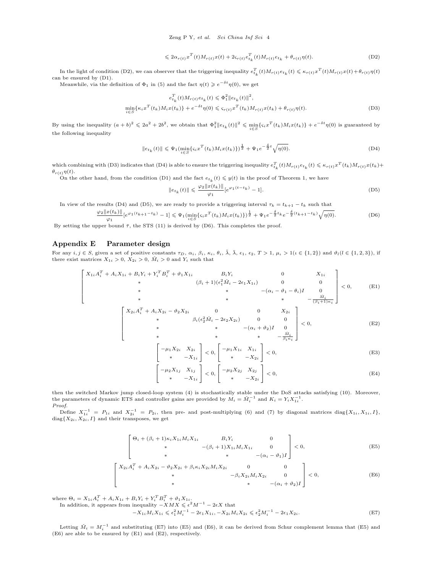$$
\leq 2\alpha_{r(t)}x^{T}(t)M_{r(t)}x(t) + 2\varsigma_{r(t)}e_{t_{k}}^{T}(t)M_{r(t)}e_{t_{k}} + \theta_{r(t)}\eta(t). \tag{D2}
$$

In the light of condition (D2), we can observer that the triggering inequality  $e_{t_k}^T(t)M_{r(t)}e_{t_k}(t) \leq \kappa_{r(t)}x^T(t)M_{r(t)}x(t) + \theta_{r(t)}\eta(t)$ can be ensured by (D1).

Meanwhile, via the definition of  $\Phi_1$  in (5) and the fact  $\eta(t) \geqslant e^{-\delta t}\eta(0)$ , we get

$$
e_{t_k}^T(t)M_{r(t)}e_{t_k}(t) \leq \Phi_1^2 \|e_{t_k}(t)\|^2,
$$
  
\n
$$
\min_{i \in S} \{\kappa_i x^T(t_k)M_i x(t_k)\} + e^{-\delta t} \eta(0) \leq \varsigma_{r(t)} x^T(t_k)M_{r(t)} x(t_k) + \theta_{r(t)} \eta(t).
$$
\n(D3)

By using the inequality  $(a+b)^2 \leq 2a^2 + 2b^2$ , we obtain that  $\Phi_1^2 ||e_{t_k}(t)||^2 \leq \min_{i \in S} \{ \varsigma_i x^T(t_k) M_i x(t_k) \} + e^{-\delta t} \eta(0)$  is guaranteed by the following inequality

$$
||e_{t_k}(t)|| \leq \Psi_1(\min_{i \in S} \{ \varsigma_i x^T(t_k) M_i x(t_k) \} )^{\frac{1}{2}} + \Psi_1 e^{-\frac{\delta}{2}t} \sqrt{\eta(0)}.
$$
 (D4)

which combining with (D3) indicates that (D4) is able to ensure the triggering inequality  $e_{t_k}^T(t)M_{r(t)}e_{t_k}(t) \leqslant \kappa_{r(t)}x^T(t_k)M_{r(t)}x(t_k) +$ *θ*<sub>*r*(*t*)</sub> $η(t)$ *.* 

On the other hand, from the condition (D1) and the fact  $e_{t_k}(t) \leq y(t)$  in the proof of Theorem 1, we have

$$
||e_{t_k}(t)|| \leq \frac{\varphi_2 ||x(t_k)||}{\varphi_1} [e^{\varphi_1(t-t_k)} - 1]. \tag{D5}
$$

In view of the results (D4) and (D5), we are ready to provide a triggering interval  $\tau_k = t_{k+1} - t_k$  such that

$$
\frac{\varphi_2 \|x(t_k)\|}{\varphi_1} \left[e^{\varphi_1(t_{k+1}-t_k)} - 1\right] \leq \Psi_1(\min_{i \in S} \{ \varsigma_i x^T(t_k) M_i x(t_k) \})^{\frac{1}{2}} + \Psi_1 e^{-\frac{\delta}{2} t_k} e^{-\frac{\delta}{2} (t_{k+1}-t_k)} \sqrt{\eta(0)}.
$$
 (D6)

By setting the upper bound  $\bar{\tau}$ , the STS (11) is derived by (D6). This completes the proof.

Г  $\mathbf{I}$ 

## **Appendix E Parameter design**

For any  $i, j \in S$ , given a set of positive constants  $\tau_D$ ,  $\alpha_i$ ,  $\beta_i$ ,  $\kappa_i$ ,  $\theta_i$ ,  $\tilde{\lambda}$ ,  $\bar{\lambda}$ ,  $\epsilon_1$ ,  $\epsilon_2$ ,  $T > 1$ ,  $\mu_{\iota} > 1$  ( $\iota \in \{1,2\}$ ) and  $\vartheta_l(l \in \{1,2,3\})$ , if there exist matrices  $X_{1i} > 0$ ,  $X_{2i} > 0$ ,  $\tilde{M}_i > 0$  and  $Y_i$  such that

$$
\begin{bmatrix}\nX_{1i}A_i^T + A_i X_{1i} + B_i Y_i + Y_i^T B_i^T + \vartheta_1 X_{1i} & B_i Y_i & 0 & X_{1i} \\
* & (\beta_i + 1)(\epsilon_1^2 \check{M}_i - 2\epsilon_1 X_{1i}) & 0 & 0 \\
* & * & * & -(\alpha_i - \vartheta_1 - \theta_i)I & 0 \\
* & * & * & * & -\frac{\check{M}_i}{(\beta_i + 1)\kappa_i}\n\end{bmatrix} < 0,\n\tag{E1}
$$

$$
\begin{bmatrix}\n\lambda_{2i}A_i + A_i \lambda_{2i} - v_{2} \lambda_{2i} & 0 & 0 & \lambda_{2i} \\
\ast & \beta_i(\epsilon_2^2 \tilde{M}_i - 2\epsilon_2 X_{2i}) & 0 & 0 \\
\ast & \ast & -(\alpha_i + \vartheta_2)I & 0 \\
\ast & \ast & \ast & -\frac{\tilde{M}_i}{\beta_i \kappa_i}\n\end{bmatrix} < 0,\n\tag{E2}
$$

$$
\begin{bmatrix} -\mu_1 X_{2i} & X_{2i} \\ * & -X_{1i} \end{bmatrix} < 0, \begin{bmatrix} -\mu_1 X_{1i} & X_{1i} \\ * & -X_{2i} \end{bmatrix} < 0,
$$
 (E3)

$$
\begin{aligned}\n-\mu_2 X_{1j} & X_{1j} \\
&* & -X_{1i}\n\end{aligned}\n\bigg] < 0, \begin{bmatrix}\n-\mu_2 X_{2j} & X_{2j} \\
&* & -X_{2i}\n\end{bmatrix} < 0,\n\tag{E4}
$$

then the switched Markov jump closed-loop system (4) is stochastically stable under the DoS attacks satisfying (10). Moreover, the parameters of dynamic ETS and controller gains are provided by  $M_i = \check{M}_i^{-1}$  and  $K_i = Y_i X_{1i}^{-1}$ . *Proof.*

Define  $X_{1i}^{-1} = P_{1i}$  and  $X_{2i}^{-1} = P_{2i}$ , then pre- and post-multiplying (6) and (7) by diagonal matrices diag{ $X_{2i}, X_{2i}, I$ } and their transposes, we get

$$
\begin{bmatrix}\n\Theta_i + (\beta_i + 1)\kappa_i X_{1i} M_i X_{1i} & B_i Y_i & 0 \\
\ast & -(\beta_i + 1)X_{1i} M_i X_{1i} & 0 \\
\ast & \ast & -(\alpha_i - \vartheta_1)I\n\end{bmatrix} < 0,\tag{E5}
$$

$$
\begin{bmatrix}\nX_{2i}A_i^T + A_i X_{2i} - \vartheta_2 X_{2i} + \beta_i \kappa_i X_{2i} M_i X_{2i} & 0 & 0 \\
\ast & -\beta_i X_{2i} M_i X_{2i} & 0 \\
\ast & -(\alpha_i + \vartheta_2)I\n\end{bmatrix} < 0,
$$
\n(E6)

where  $\Theta_i = X_{1i}A_i^T + A_iX_{1i} + B_iY_i + Y_i^T B_i^T + \vartheta_1 X_{1i}$ .

In addition, it appears from inequality  $-XMX \leq \epsilon^2 M^{-1} - 2\epsilon X$  that

 $-X_{1i}M_iX_{1i} \leqslant \epsilon_1^2 M_i^{-1} - 2\epsilon_1 X_{1i}, -X_{2i}M_iX_{2i} \leqslant \epsilon_2^2 M_i^{-1} - 2\epsilon_1 X_{2i}.$  (E7)

Letting  $\check{M}_i = M_i^{-1}$  and substituting (E7) into (E5) and (E6), it can be derived from Schur complement lemma that (E5) and (E6) are able to be ensured by (E1) and (E2), respectively.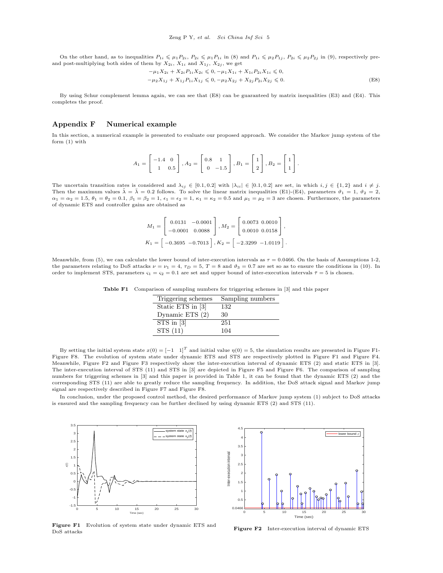On the other hand, as to inequalities  $P_{1i} \nleq \mu_1 P_{2i}, P_{2i} \nleq \mu_1 P_{1i}$  in (8) and  $P_{1i} \nleq \mu_2 P_{1i}, P_{2i} \nleq \mu_2 P_{2i}$  in (9), respectively preand post-multiplying both sides of them by  $X_{2i}$ ,  $X_{1i}$  and  $X_{1j}$ ,  $X_{2j}$ , we get

$$
-\mu_1 X_{2i} + X_{2i} P_{1i} X_{2i} \leq 0, -\mu_1 X_{1i} + X_{1i} P_{2i} X_{1i} \leq 0,
$$
  

$$
-\mu_2 X_{1j} + X_{1j} P_{1i} X_{1j} \leq 0, -\mu_2 X_{2j} + X_{2j} P_{2i} X_{2j} \leq 0.
$$
 (E8)

By using Schur complement lemma again, we can see that (E8) can be guaranteed by matrix inequalities (E3) and (E4). This completes the proof.

#### **Appendix F Numerical example**

In this section, a numerical example is presented to evaluate our proposed approach. We consider the Markov jump system of the form (1) with

$$
A_1 = \begin{bmatrix} -1.4 & 0 \\ 1 & 0.5 \end{bmatrix}, A_2 = \begin{bmatrix} 0.8 & 1 \\ 0 & -1.5 \end{bmatrix}, B_1 = \begin{bmatrix} 1 \\ 2 \end{bmatrix}, B_2 = \begin{bmatrix} 1 \\ 1 \end{bmatrix}.
$$

The uncertain transition rates is considered and  $\lambda_{ij} \in [0.1, 0.2]$  with  $|\lambda_{ii}| \in [0.1, 0.2]$  are set, in which  $i, j \in \{1, 2\}$  and  $i \neq j$ . Then the maximum values  $\tilde{\lambda} = \bar{\lambda} = 0.2$  follows. To solve the linear matrix inequalities (E1)-(E4), parameters  $\vartheta_1 = 1$ ,  $\vartheta_2 = 2$ ,  $\alpha_1 = \alpha_2 = 1.5$ ,  $\theta_1 = \theta_2 = 0.1$ ,  $\beta_1 = \beta_2 = 1$ ,  $\epsilon_1 = \epsilon_2 = 1$ ,  $\kappa_1 = \kappa_2 = 0.5$  and  $\mu_1 = \mu_2 = 3$  are chosen. Furthermore, the parameters of dynamic ETS and controller gains are obtained as

$$
M_1 = \begin{bmatrix} 0.0131 & -0.0001 \\ -0.0001 & 0.0088 \end{bmatrix}, M_2 = \begin{bmatrix} 0.0073 & 0.0010 \\ 0.0010 & 0.0158 \end{bmatrix},
$$
  

$$
K_1 = \begin{bmatrix} -0.3695 & -0.7013 \\ \end{bmatrix}, K_2 = \begin{bmatrix} -2.3299 & -1.0119 \\ \end{bmatrix}.
$$

Meanwhile, from (5), we can calculate the lower bound of inter-execution intervals as  $\tau = 0.0466$ . On the basis of Assumptions 1-2, the parameters relating to DoS attacks  $\nu = \nu_1 = 4$ ,  $\tau_D = 5$ ,  $T = 8$  and  $\vartheta_3 = 0.7$  are set so as to ensure the conditions in (10). In order to implement STS, parameters  $\varsigma_1 = \varsigma_2 = 0.1$  are set and upper bound of inter-execution intervals  $\bar{\tau} = 5$  is chosen.

**Table F1** Comparison of sampling numbers for triggering schemes in [3] and this paper

| Triggering schemes | Sampling numbers |
|--------------------|------------------|
| Static ETS in [3]  | 132              |
| Dynamic ETS $(2)$  | 30               |
| $STS$ in $[3]$     | 251              |
| STS (11)           | 104              |

By setting the initial system state  $x(0) = \begin{bmatrix} -1 & 1 \end{bmatrix}^T$  and initial value  $\eta(0) = 5$ , the simulation results are presented in Figure F1-Figure F8. The evolution of system state under dynamic ETS and STS are respectively plotted in Figure F1 and Figure F4. Meanwhile, Figure F2 and Figure F3 respectively show the inter-execution interval of dynamic ETS (2) and static ETS in [3]. The inter-execution interval of STS (11) and STS in [3] are depicted in Figure F5 and Figure F6. The comparison of sampling numbers for triggering schemes in [3] and this paper is provided in Table 1, it can be found that the dynamic ETS (2) and the corresponding STS (11) are able to greatly reduce the sampling frequency. In addition, the DoS attack signal and Markov jump signal are respectively described in Figure F7 and Figure F8.

In conclusion, under the proposed control method, the desired performance of Markov jump system (1) subject to DoS attacks is ensured and the sampling frequency can be further declined by using dynamic ETS (2) and STS (11).

 $4.5<sub>1</sub>$ 



lower bound 4 3.5 nter-execution interva Inter-execution interval 3  $2.5$ 2 1.5 1  $0.5$  $0.0466$ 0 5 10 15 20 25 30 Time (sec)

**Figure F1** Evolution of system state under dynamic ETS and DoS attacks

**Figure F2** Inter-execution interval of dynamic ETS